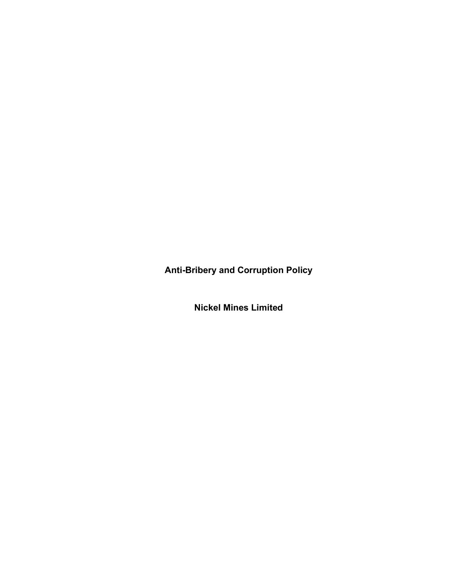Anti-Bribery and Corruption Policy

Nickel Mines Limited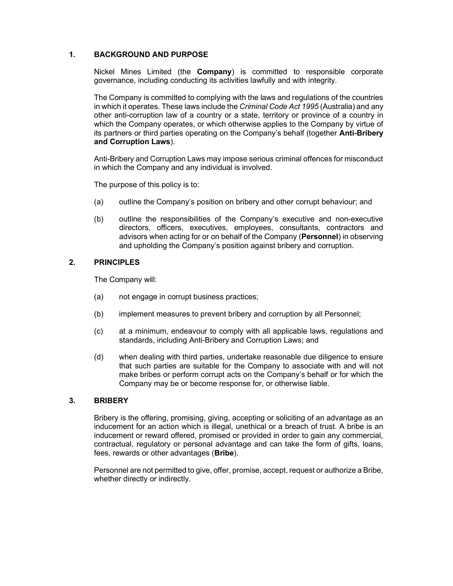## 1. BACKGROUND AND PURPOSE

Nickel Mines Limited (the Company) is committed to responsible corporate governance, including conducting its activities lawfully and with integrity.

The Company is committed to complying with the laws and regulations of the countries in which it operates. These laws include the *Criminal Code Act 1995* (Australia) and any other anti-corruption law of a country or a state, territory or province of a country in which the Company operates, or which otherwise applies to the Company by virtue of its partners or third parties operating on the Company's behalf (together Anti-Bribery and Corruption Laws).

Anti-Bribery and Corruption Laws may impose serious criminal offences for misconduct in which the Company and any individual is involved.

The purpose of this policy is to:

- (a) outline the Company's position on bribery and other corrupt behaviour; and
- (b) outline the responsibilities of the Company's executive and non-executive directors, officers, executives, employees, consultants, contractors and advisors when acting for or on behalf of the Company (Personnel) in observing and upholding the Company's position against bribery and corruption.

# 2. PRINCIPLES

The Company will:

- (a) not engage in corrupt business practices;
- (b) implement measures to prevent bribery and corruption by all Personnel;
- (c) at a minimum, endeavour to comply with all applicable laws, regulations and standards, including Anti-Bribery and Corruption Laws; and
- (d) when dealing with third parties, undertake reasonable due diligence to ensure that such parties are suitable for the Company to associate with and will not make bribes or perform corrupt acts on the Company's behalf or for which the Company may be or become response for, or otherwise liable.

### 3. BRIBERY

Bribery is the offering, promising, giving, accepting or soliciting of an advantage as an inducement for an action which is illegal, unethical or a breach of trust. A bribe is an inducement or reward offered, promised or provided in order to gain any commercial, contractual, regulatory or personal advantage and can take the form of gifts, loans, fees, rewards or other advantages (Bribe).

Personnel are not permitted to give, offer, promise, accept, request or authorize a Bribe, whether directly or indirectly.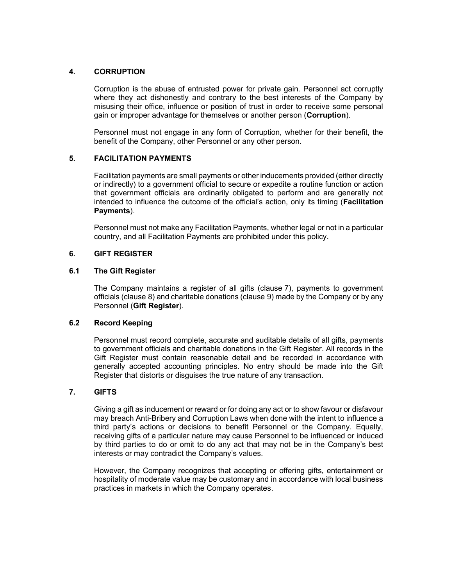# 4. CORRUPTION

Corruption is the abuse of entrusted power for private gain. Personnel act corruptly where they act dishonestly and contrary to the best interests of the Company by misusing their office, influence or position of trust in order to receive some personal gain or improper advantage for themselves or another person (Corruption).

Personnel must not engage in any form of Corruption, whether for their benefit, the benefit of the Company, other Personnel or any other person.

### 5. FACILITATION PAYMENTS

Facilitation payments are small payments or other inducements provided (either directly or indirectly) to a government official to secure or expedite a routine function or action that government officials are ordinarily obligated to perform and are generally not intended to influence the outcome of the official's action, only its timing (Facilitation Payments).

Personnel must not make any Facilitation Payments, whether legal or not in a particular country, and all Facilitation Payments are prohibited under this policy.

## 6. GIFT REGISTER

### 6.1 The Gift Register

The Company maintains a register of all gifts (clause 7), payments to government officials (clause 8) and charitable donations (clause 9) made by the Company or by any Personnel (Gift Register).

### 6.2 Record Keeping

Personnel must record complete, accurate and auditable details of all gifts, payments to government officials and charitable donations in the Gift Register. All records in the Gift Register must contain reasonable detail and be recorded in accordance with generally accepted accounting principles. No entry should be made into the Gift Register that distorts or disguises the true nature of any transaction.

### 7. GIFTS

Giving a gift as inducement or reward or for doing any act or to show favour or disfavour may breach Anti-Bribery and Corruption Laws when done with the intent to influence a third party's actions or decisions to benefit Personnel or the Company. Equally, receiving gifts of a particular nature may cause Personnel to be influenced or induced by third parties to do or omit to do any act that may not be in the Company's best interests or may contradict the Company's values.

However, the Company recognizes that accepting or offering gifts, entertainment or hospitality of moderate value may be customary and in accordance with local business practices in markets in which the Company operates.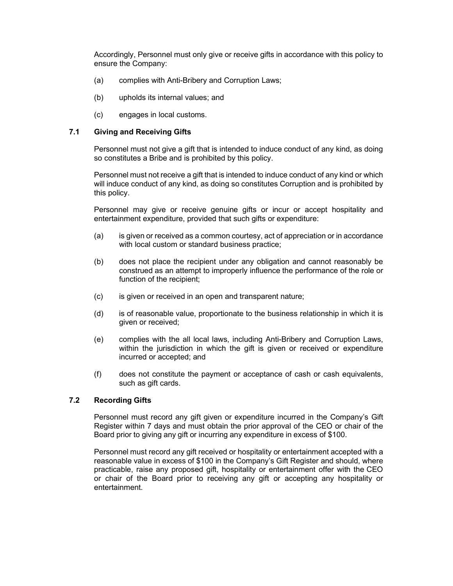Accordingly, Personnel must only give or receive gifts in accordance with this policy to ensure the Company:

- (a) complies with Anti-Bribery and Corruption Laws;
- (b) upholds its internal values; and
- (c) engages in local customs.

#### 7.1 Giving and Receiving Gifts

Personnel must not give a gift that is intended to induce conduct of any kind, as doing so constitutes a Bribe and is prohibited by this policy.

Personnel must not receive a gift that is intended to induce conduct of any kind or which will induce conduct of any kind, as doing so constitutes Corruption and is prohibited by this policy.

Personnel may give or receive genuine gifts or incur or accept hospitality and entertainment expenditure, provided that such gifts or expenditure:

- (a) is given or received as a common courtesy, act of appreciation or in accordance with local custom or standard business practice;
- (b) does not place the recipient under any obligation and cannot reasonably be construed as an attempt to improperly influence the performance of the role or function of the recipient;
- (c) is given or received in an open and transparent nature;
- (d) is of reasonable value, proportionate to the business relationship in which it is given or received;
- (e) complies with the all local laws, including Anti-Bribery and Corruption Laws, within the jurisdiction in which the gift is given or received or expenditure incurred or accepted; and
- (f) does not constitute the payment or acceptance of cash or cash equivalents, such as gift cards.

### 7.2 Recording Gifts

Personnel must record any gift given or expenditure incurred in the Company's Gift Register within 7 days and must obtain the prior approval of the CEO or chair of the Board prior to giving any gift or incurring any expenditure in excess of \$100.

Personnel must record any gift received or hospitality or entertainment accepted with a reasonable value in excess of \$100 in the Company's Gift Register and should, where practicable, raise any proposed gift, hospitality or entertainment offer with the CEO or chair of the Board prior to receiving any gift or accepting any hospitality or entertainment.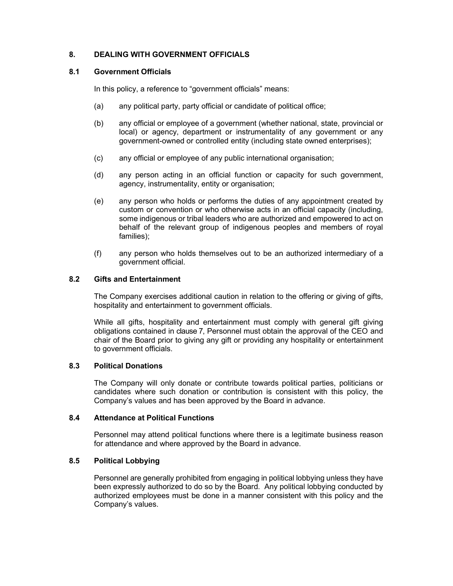### 8. DEALING WITH GOVERNMENT OFFICIALS

#### 8.1 Government Officials

In this policy, a reference to "government officials" means:

- (a) any political party, party official or candidate of political office;
- (b) any official or employee of a government (whether national, state, provincial or local) or agency, department or instrumentality of any government or any government-owned or controlled entity (including state owned enterprises);
- (c) any official or employee of any public international organisation;
- (d) any person acting in an official function or capacity for such government, agency, instrumentality, entity or organisation;
- (e) any person who holds or performs the duties of any appointment created by custom or convention or who otherwise acts in an official capacity (including, some indigenous or tribal leaders who are authorized and empowered to act on behalf of the relevant group of indigenous peoples and members of royal families);
- (f) any person who holds themselves out to be an authorized intermediary of a government official.

### 8.2 Gifts and Entertainment

The Company exercises additional caution in relation to the offering or giving of gifts, hospitality and entertainment to government officials.

While all gifts, hospitality and entertainment must comply with general gift giving obligations contained in clause 7, Personnel must obtain the approval of the CEO and chair of the Board prior to giving any gift or providing any hospitality or entertainment to government officials.

### 8.3 Political Donations

The Company will only donate or contribute towards political parties, politicians or candidates where such donation or contribution is consistent with this policy, the Company's values and has been approved by the Board in advance.

#### 8.4 Attendance at Political Functions

Personnel may attend political functions where there is a legitimate business reason for attendance and where approved by the Board in advance.

# 8.5 Political Lobbying

Personnel are generally prohibited from engaging in political lobbying unless they have been expressly authorized to do so by the Board. Any political lobbying conducted by authorized employees must be done in a manner consistent with this policy and the Company's values.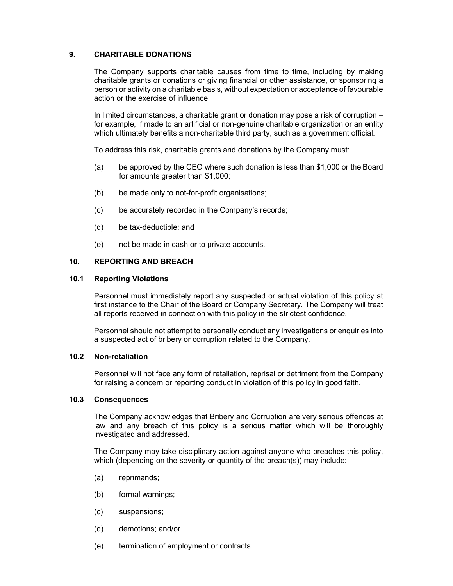# 9. CHARITABLE DONATIONS

The Company supports charitable causes from time to time, including by making charitable grants or donations or giving financial or other assistance, or sponsoring a person or activity on a charitable basis, without expectation or acceptance of favourable action or the exercise of influence.

In limited circumstances, a charitable grant or donation may pose a risk of corruption – for example, if made to an artificial or non-genuine charitable organization or an entity which ultimately benefits a non-charitable third party, such as a government official.

To address this risk, charitable grants and donations by the Company must:

- (a) be approved by the CEO where such donation is less than \$1,000 or the Board for amounts greater than \$1,000;
- (b) be made only to not-for-profit organisations;
- (c) be accurately recorded in the Company's records;
- (d) be tax-deductible; and
- (e) not be made in cash or to private accounts.

#### 10. REPORTING AND BREACH

#### 10.1 Reporting Violations

Personnel must immediately report any suspected or actual violation of this policy at first instance to the Chair of the Board or Company Secretary. The Company will treat all reports received in connection with this policy in the strictest confidence.

Personnel should not attempt to personally conduct any investigations or enquiries into a suspected act of bribery or corruption related to the Company.

#### 10.2 Non-retaliation

Personnel will not face any form of retaliation, reprisal or detriment from the Company for raising a concern or reporting conduct in violation of this policy in good faith.

#### 10.3 Consequences

The Company acknowledges that Bribery and Corruption are very serious offences at law and any breach of this policy is a serious matter which will be thoroughly investigated and addressed.

The Company may take disciplinary action against anyone who breaches this policy, which (depending on the severity or quantity of the breach(s)) may include:

- (a) reprimands;
- (b) formal warnings;
- (c) suspensions;
- (d) demotions; and/or
- (e) termination of employment or contracts.